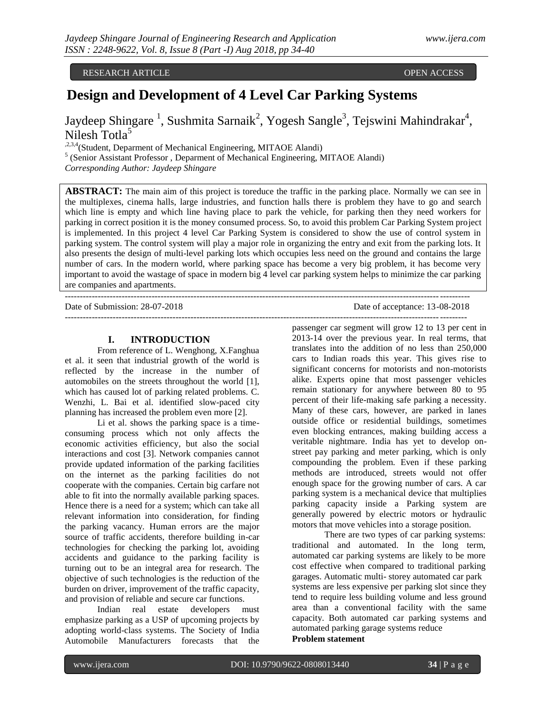# RESEARCH ARTICLE OPEN ACCESS

# **Design and Development of 4 Level Car Parking Systems**

Jaydeep Shingare<sup>1</sup>, Sushmita Sarnaik<sup>2</sup>, Yogesh Sangle<sup>3</sup>, Tejswini Mahindrakar<sup>4</sup>, Nilesh Totla<sup>5</sup>

,2,3,4(Student, Deparment of Mechanical Engineering, MITAOE Alandi)

<sup>5</sup> (Senior Assistant Professor, Deparment of Mechanical Engineering, MITAOE Alandi) *Corresponding Author: Jaydeep Shingare*

**ABSTRACT:** The main aim of this project is toreduce the traffic in the parking place. Normally we can see in the multiplexes, cinema halls, large industries, and function halls there is problem they have to go and search which line is empty and which line having place to park the vehicle, for parking then they need workers for parking in correct position it is the money consumed process. So, to avoid this problem Car Parking System project is implemented. In this project 4 level Car Parking System is considered to show the use of control system in parking system. The control system will play a major role in organizing the entry and exit from the parking lots. It also presents the design of multi-level parking lots which occupies less need on the ground and contains the large number of cars. In the modern world, where parking space has become a very big problem, it has become very important to avoid the wastage of space in modern big 4 level car parking system helps to minimize the car parking are companies and apartments.

---------------------------------------------------------------------------------------------------------------------------------------

Date of Submission: 28-07-2018 Date of acceptance: 13-08-2018

#### **I. INTRODUCTION**

From reference of L. Wenghong, X.Fanghua et al. it seen that industrial growth of the world is reflected by the increase in the number of automobiles on the streets throughout the world [1], which has caused lot of parking related problems. C. Wenzhi, L. Bai et al. identified slow-paced city planning has increased the problem even more [2].

Li et al. shows the parking space is a timeconsuming process which not only affects the economic activities efficiency, but also the social interactions and cost [3]. Network companies cannot provide updated information of the parking facilities on the internet as the parking facilities do not cooperate with the companies. Certain big carfare not able to fit into the normally available parking spaces. Hence there is a need for a system; which can take all relevant information into consideration, for finding the parking vacancy. Human errors are the major source of traffic accidents, therefore building in-car technologies for checking the parking lot, avoiding accidents and guidance to the parking facility is turning out to be an integral area for research. The objective of such technologies is the reduction of the burden on driver, improvement of the traffic capacity, and provision of reliable and secure car functions.

Indian real estate developers must emphasize parking as a USP of upcoming projects by adopting world-class systems. The Society of India Automobile Manufacturers forecasts that the

--------------------------------------------------------------------------------------------------------------------------------------

passenger car segment will grow 12 to 13 per cent in 2013-14 over the previous year. In real terms, that translates into the addition of no less than 250,000 cars to Indian roads this year. This gives rise to significant concerns for motorists and non-motorists alike. Experts opine that most passenger vehicles remain stationary for anywhere between 80 to 95 percent of their life-making safe parking a necessity. Many of these cars, however, are parked in lanes outside office or residential buildings, sometimes even blocking entrances, making building access a veritable nightmare. India has yet to develop onstreet pay parking and meter parking, which is only compounding the problem. Even if these parking methods are introduced, streets would not offer enough space for the growing number of cars. A car parking system is a mechanical device that multiplies parking capacity inside a Parking system are generally powered by electric motors or hydraulic motors that move vehicles into a storage position.

There are two types of car parking systems: traditional and automated. In the long term, automated car parking systems are likely to be more cost effective when compared to traditional parking garages. Automatic multi- storey automated car park systems are less expensive per parking slot since they tend to require less building volume and less ground area than a conventional facility with the same capacity. Both automated car parking systems and automated parking garage systems reduce **Problem statement**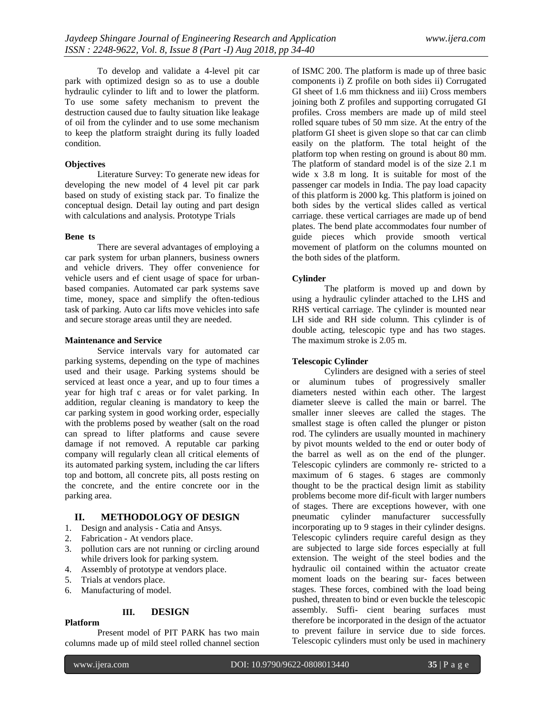To develop and validate a 4-level pit car park with optimized design so as to use a double hydraulic cylinder to lift and to lower the platform. To use some safety mechanism to prevent the destruction caused due to faulty situation like leakage of oil from the cylinder and to use some mechanism to keep the platform straight during its fully loaded condition.

#### **Objectives**

Literature Survey: To generate new ideas for developing the new model of 4 level pit car park based on study of existing stack par. To finalize the conceptual design. Detail lay outing and part design with calculations and analysis. Prototype Trials

#### **Bene ts**

There are several advantages of employing a car park system for urban planners, business owners and vehicle drivers. They offer convenience for vehicle users and ef cient usage of space for urbanbased companies. Automated car park systems save time, money, space and simplify the often-tedious task of parking. Auto car lifts move vehicles into safe and secure storage areas until they are needed.

#### **Maintenance and Service**

Service intervals vary for automated car parking systems, depending on the type of machines used and their usage. Parking systems should be serviced at least once a year, and up to four times a year for high traf c areas or for valet parking. In addition, regular cleaning is mandatory to keep the car parking system in good working order, especially with the problems posed by weather (salt on the road can spread to lifter platforms and cause severe damage if not removed. A reputable car parking company will regularly clean all critical elements of its automated parking system, including the car lifters top and bottom, all concrete pits, all posts resting on the concrete, and the entire concrete oor in the parking area.

# **II. METHODOLOGY OF DESIGN**

- 1. Design and analysis Catia and Ansys.
- 2. Fabrication At vendors place.
- 3. pollution cars are not running or circling around while drivers look for parking system.
- 4. Assembly of prototype at vendors place.
- 5. Trials at vendors place.
- 6. Manufacturing of model.

#### **III. DESIGN**

#### **Platform**

Present model of PIT PARK has two main columns made up of mild steel rolled channel section

of ISMC 200. The platform is made up of three basic components i) Z profile on both sides ii) Corrugated GI sheet of 1.6 mm thickness and iii) Cross members joining both Z profiles and supporting corrugated GI profiles. Cross members are made up of mild steel rolled square tubes of 50 mm size. At the entry of the platform GI sheet is given slope so that car can climb easily on the platform. The total height of the platform top when resting on ground is about 80 mm. The platform of standard model is of the size 2.1 m wide x 3.8 m long. It is suitable for most of the passenger car models in India. The pay load capacity of this platform is 2000 kg. This platform is joined on both sides by the vertical slides called as vertical carriage. these vertical carriages are made up of bend plates. The bend plate accommodates four number of guide pieces which provide smooth vertical movement of platform on the columns mounted on the both sides of the platform.

#### **Cylinder**

The platform is moved up and down by using a hydraulic cylinder attached to the LHS and RHS vertical carriage. The cylinder is mounted near LH side and RH side column. This cylinder is of double acting, telescopic type and has two stages. The maximum stroke is 2.05 m.

#### **Telescopic Cylinder**

Cylinders are designed with a series of steel or aluminum tubes of progressively smaller diameters nested within each other. The largest diameter sleeve is called the main or barrel. The smaller inner sleeves are called the stages. The smallest stage is often called the plunger or piston rod. The cylinders are usually mounted in machinery by pivot mounts welded to the end or outer body of the barrel as well as on the end of the plunger. Telescopic cylinders are commonly re- stricted to a maximum of 6 stages. 6 stages are commonly thought to be the practical design limit as stability problems become more dif-ficult with larger numbers of stages. There are exceptions however, with one pneumatic cylinder manufacturer successfully incorporating up to 9 stages in their cylinder designs. Telescopic cylinders require careful design as they are subjected to large side forces especially at full extension. The weight of the steel bodies and the hydraulic oil contained within the actuator create moment loads on the bearing sur- faces between stages. These forces, combined with the load being pushed, threaten to bind or even buckle the telescopic assembly. Suffi- cient bearing surfaces must therefore be incorporated in the design of the actuator to prevent failure in service due to side forces. Telescopic cylinders must only be used in machinery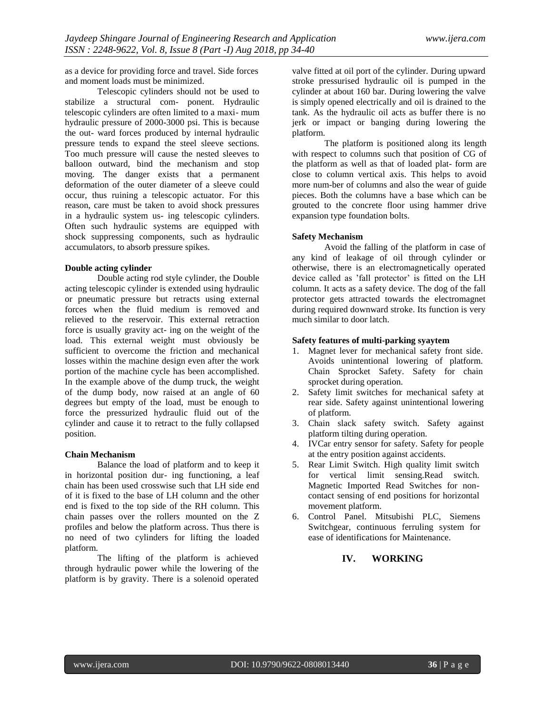as a device for providing force and travel. Side forces and moment loads must be minimized.

Telescopic cylinders should not be used to stabilize a structural com- ponent. Hydraulic telescopic cylinders are often limited to a maxi- mum hydraulic pressure of 2000-3000 psi. This is because the out- ward forces produced by internal hydraulic pressure tends to expand the steel sleeve sections. Too much pressure will cause the nested sleeves to balloon outward, bind the mechanism and stop moving. The danger exists that a permanent deformation of the outer diameter of a sleeve could occur, thus ruining a telescopic actuator. For this reason, care must be taken to avoid shock pressures in a hydraulic system us- ing telescopic cylinders. Often such hydraulic systems are equipped with shock suppressing components, such as hydraulic accumulators, to absorb pressure spikes.

#### **Double acting cylinder**

Double acting rod style cylinder, the Double acting telescopic cylinder is extended using hydraulic or pneumatic pressure but retracts using external forces when the fluid medium is removed and relieved to the reservoir. This external retraction force is usually gravity act- ing on the weight of the load. This external weight must obviously be sufficient to overcome the friction and mechanical losses within the machine design even after the work portion of the machine cycle has been accomplished. In the example above of the dump truck, the weight of the dump body, now raised at an angle of 60 degrees but empty of the load, must be enough to force the pressurized hydraulic fluid out of the cylinder and cause it to retract to the fully collapsed position.

#### **Chain Mechanism**

Balance the load of platform and to keep it in horizontal position dur- ing functioning, a leaf chain has been used crosswise such that LH side end of it is fixed to the base of LH column and the other end is fixed to the top side of the RH column. This chain passes over the rollers mounted on the Z profiles and below the platform across. Thus there is no need of two cylinders for lifting the loaded platform.

The lifting of the platform is achieved through hydraulic power while the lowering of the platform is by gravity. There is a solenoid operated

valve fitted at oil port of the cylinder. During upward stroke pressurised hydraulic oil is pumped in the cylinder at about 160 bar. During lowering the valve is simply opened electrically and oil is drained to the tank. As the hydraulic oil acts as buffer there is no jerk or impact or banging during lowering the platform.

The platform is positioned along its length with respect to columns such that position of CG of the platform as well as that of loaded plat- form are close to column vertical axis. This helps to avoid more num-ber of columns and also the wear of guide pieces. Both the columns have a base which can be grouted to the concrete floor using hammer drive expansion type foundation bolts.

#### **Safety Mechanism**

Avoid the falling of the platform in case of any kind of leakage of oil through cylinder or otherwise, there is an electromagnetically operated device called as 'fall protector' is fitted on the LH column. It acts as a safety device. The dog of the fall protector gets attracted towards the electromagnet during required downward stroke. Its function is very much similar to door latch.

#### **Safety features of multi-parking syaytem**

- 1. Magnet lever for mechanical safety front side. Avoids unintentional lowering of platform. Chain Sprocket Safety. Safety for chain sprocket during operation.
- 2. Safety limit switches for mechanical safety at rear side. Safety against unintentional lowering of platform.
- 3. Chain slack safety switch. Safety against platform tilting during operation.
- 4. IVCar entry sensor for safety. Safety for people at the entry position against accidents.
- 5. Rear Limit Switch. High quality limit switch for vertical limit sensing.Read switch. Magnetic Imported Read Switches for noncontact sensing of end positions for horizontal movement platform.
- 6. Control Panel. Mitsubishi PLC, Siemens Switchgear, continuous ferruling system for ease of identifications for Maintenance.

# **IV. WORKING**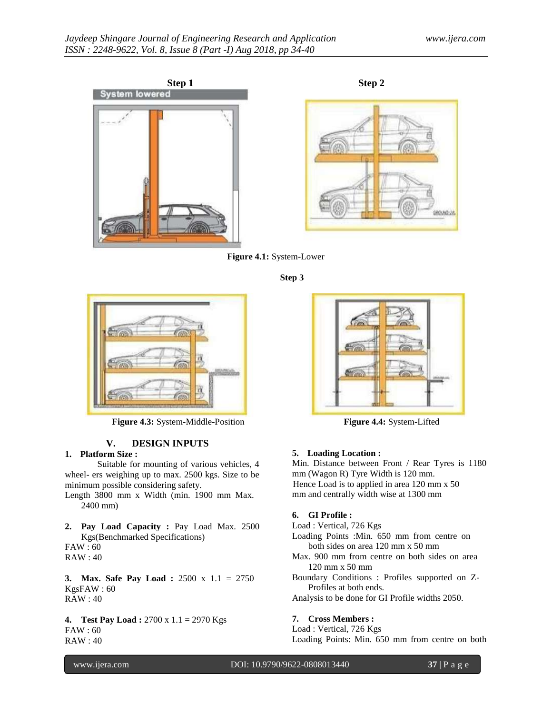







**Step 3**



**Figure 4.3:** System-Middle-Position **Figure 4.4:** System-Lifted

# **V. DESIGN INPUTS**

#### **1. Platform Size :**

Suitable for mounting of various vehicles, 4 wheel- ers weighing up to max. 2500 kgs. Size to be minimum possible considering safety.

Length 3800 mm x Width (min. 1900 mm Max. 2400 mm)

**2. Pay Load Capacity :** Pay Load Max. 2500 Kgs(Benchmarked Specifications) FAW : 60 RAW : 40

**3. Max. Safe Pay Load :** 2500 x 1.1 = 2750 KgsFAW : 60 RAW : 40

**4. Test Pay Load :** 2700 x 1.1 = 2970 Kgs FAW : 60 RAW : 40



## **5. Loading Location :**

Min. Distance between Front / Rear Tyres is 1180 mm (Wagon R) Tyre Width is 120 mm. Hence Load is to applied in area 120 mm x 50 mm and centrally width wise at 1300 mm

## **6. GI Profile :**

Load : Vertical, 726 Kgs Loading Points :Min. 650 mm from centre on both sides on area 120 mm x 50 mm Max. 900 mm from centre on both sides on area 120 mm x 50 mm Boundary Conditions : Profiles supported on Z-Profiles at both ends. Analysis to be done for GI Profile widths 2050.

#### **7. Cross Members :**

Load : Vertical, 726 Kgs Loading Points: Min. 650 mm from centre on both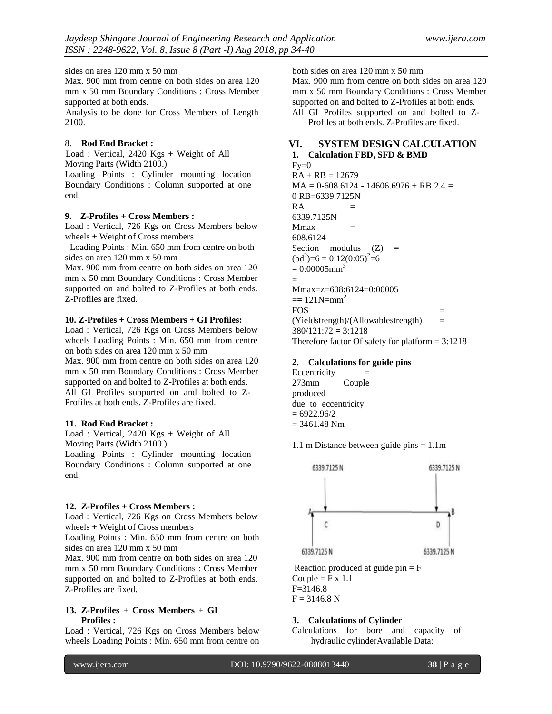sides on area 120 mm x 50 mm

Max. 900 mm from centre on both sides on area 120 mm x 50 mm Boundary Conditions : Cross Member supported at both ends.

Analysis to be done for Cross Members of Length 2100.

#### 8. **Rod End Bracket :**

Load : Vertical, 2420 Kgs + Weight of All Moving Parts (Width 2100.)

Loading Points : Cylinder mounting location Boundary Conditions : Column supported at one end.

#### **9. Z-Profiles + Cross Members :**

Load : Vertical, 726 Kgs on Cross Members below wheels + Weight of Cross members

Loading Points : Min. 650 mm from centre on both sides on area 120 mm x 50 mm

Max. 900 mm from centre on both sides on area 120 mm x 50 mm Boundary Conditions : Cross Member supported on and bolted to Z-Profiles at both ends. Z-Profiles are fixed.

#### **10. Z-Profiles + Cross Members + GI Profiles:**

Load : Vertical, 726 Kgs on Cross Members below wheels Loading Points : Min. 650 mm from centre on both sides on area 120 mm x 50 mm

Max. 900 mm from centre on both sides on area 120 mm x 50 mm Boundary Conditions : Cross Member supported on and bolted to Z-Profiles at both ends. All GI Profiles supported on and bolted to Z-Profiles at both ends. Z-Profiles are fixed.

#### **11. Rod End Bracket :**

Load : Vertical, 2420 Kgs + Weight of All Moving Parts (Width 2100.)

Loading Points : Cylinder mounting location Boundary Conditions : Column supported at one end.

#### **12. Z-Profiles + Cross Members :**

Load : Vertical, 726 Kgs on Cross Members below wheels + Weight of Cross members

Loading Points : Min. 650 mm from centre on both sides on area 120 mm x 50 mm

Max. 900 mm from centre on both sides on area 120 mm x 50 mm Boundary Conditions : Cross Member supported on and bolted to Z-Profiles at both ends. Z-Profiles are fixed.

#### **13. Z-Profiles + Cross Members + GI Profiles :**

Load : Vertical, 726 Kgs on Cross Members below wheels Loading Points : Min. 650 mm from centre on both sides on area 120 mm x 50 mm

Max. 900 mm from centre on both sides on area 120 mm x 50 mm Boundary Conditions : Cross Member supported on and bolted to Z-Profiles at both ends. All GI Profiles supported on and bolted to Z-

Profiles at both ends. Z-Profiles are fixed.

# **VI. SYSTEM DESIGN CALCULATION**

# **1. Calculation FBD, SFD & BMD**

 $Fv=0$  $RA + RB = 12679$  $MA = 0.608.6124 - 14606.6976 + RB$  2.4 = 0 RB=6339.7125N  $RA =$ 6339.7125N  $Mmax$  = 608.6124 Section modulus  $(Z)$  =  $(bd^2)=6 = 0:12(0:05)^2=6$  $= 0:00005$ mm<sup>3</sup> **=**  Mmax=z=608:6124=0:00005  $=$  121N=mm<sup>2</sup>  $FOS =$ (Yieldstrength)/(Allowablestrength) **=**  380/121:72 **=** 3:1218 Therefore factor Of safety for platform  $= 3:1218$ 

#### **2. Calculations for guide pins**

 $Eccentricity =$ 273mm Couple produced due to eccentricity  $= 6922.96/2$  $= 3461.48$  Nm

1.1 m Distance between guide pins = 1.1m



Reaction produced at guide  $pin = F$ Couple =  $F \times 1.1$  $F=3146.8$  $F = 3146.8 N$ 

#### **3. Calculations of Cylinder**

Calculations for bore and capacity of hydraulic cylinderAvailable Data: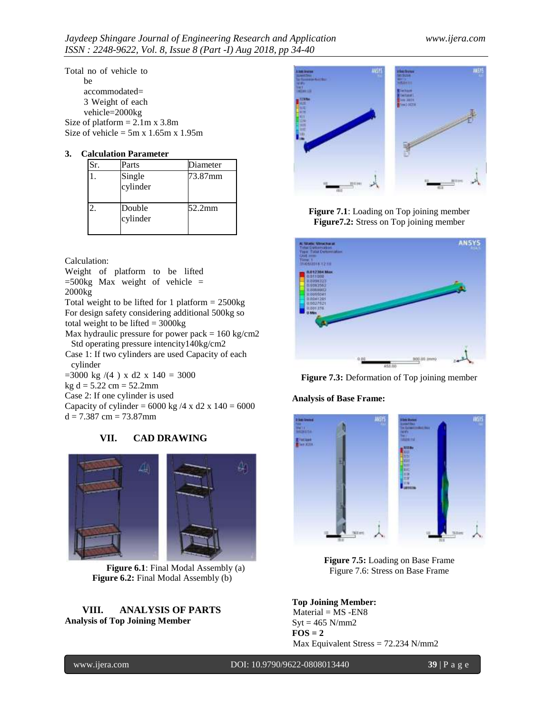Total no of vehicle to be accommodated= 3 Weight of each vehicle=2000kg Size of platform  $= 2.1$ m x 3.8m Size of vehicle =  $5m \times 1.65m \times 1.95m$ 

# **3. Calculation Parameter**

| unuuvii 1 ui uinetei |                    |          |  |  |  |  |
|----------------------|--------------------|----------|--|--|--|--|
| Šг.                  | Parts              | Diameter |  |  |  |  |
|                      | Single<br>cylinder | 73.87mm  |  |  |  |  |
|                      | Double<br>cylinder | 52.2mm   |  |  |  |  |

Calculation:

Weight of platform to be lifted  $=500$ kg Max weight of vehicle  $=$ 2000kg

Total weight to be lifted for 1 platform  $= 2500$ kg For design safety considering additional 500kg so total weight to be lifted  $= 3000$ kg

Max hydraulic pressure for power pack  $= 160 \text{ kg/cm2}$ Std operating pressure intencity140kg/cm2

Case 1: If two cylinders are used Capacity of each cylinder

 $=3000 \text{ kg }/(4) \text{ x d2 } \text{ x } 140 = 3000$ 

 $kg d = 5.22 cm = 52.2 mm$ 

Case 2: If one cylinder is used

Capacity of cylinder =  $6000 \text{ kg}$  /4 x d2 x 140 =  $6000$  $d = 7.387$  cm = 73.87mm

# **VII. CAD DRAWING**



**Figure 6.1**: Final Modal Assembly (a) **Figure 6.2:** Final Modal Assembly (b)

# **VIII. ANALYSIS OF PARTS Analysis of Top Joining Member**



**Figure 7.1**: Loading on Top joining member **Figure7.2:** Stress on Top joining member



**Figure 7.3:** Deformation of Top joining member

## **Analysis of Base Frame:**



**Figure 7.5:** Loading on Base Frame Figure 7.6: Stress on Base Frame

**Top Joining Member:**  $Material = MS - ENS$  $Syt = 465$  N/mm2  $\textbf{FOS} = 2$ Max Equivalent Stress = 72.234 N/mm2